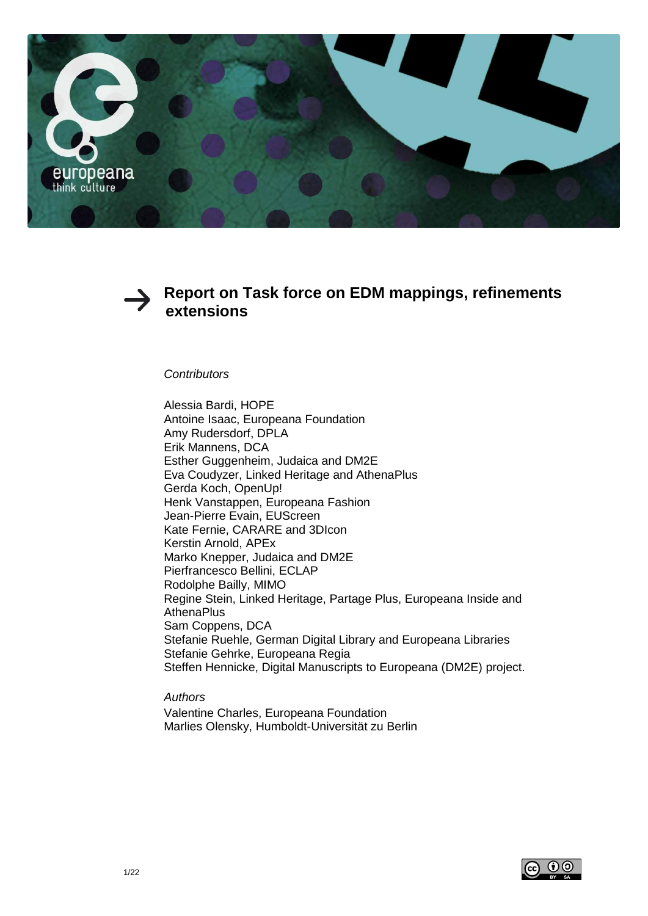



# **Report on Task force on EDM mappings, refinements extensions**

*Contributors* 

Alessia Bardi, HOPE Antoine Isaac, Europeana Foundation Amy Rudersdorf, DPLA Erik Mannens, DCA Esther Guggenheim, Judaica and DM2E Eva Coudyzer, Linked Heritage and AthenaPlus Gerda Koch, OpenUp! Henk Vanstappen, Europeana Fashion Jean-Pierre Evain, EUScreen Kate Fernie, CARARE and 3DIcon Kerstin Arnold, APEx Marko Knepper, Judaica and DM2E Pierfrancesco Bellini, ECLAP Rodolphe Bailly, MIMO Regine Stein, Linked Heritage, Partage Plus, Europeana Inside and **AthenaPlus** Sam Coppens, DCA Stefanie Ruehle, German Digital Library and Europeana Libraries Stefanie Gehrke, Europeana Regia Steffen Hennicke, Digital Manuscripts to Europeana (DM2E) project.

*Authors* Valentine Charles, Europeana Foundation Marlies Olensky, Humboldt-Universität zu Berlin

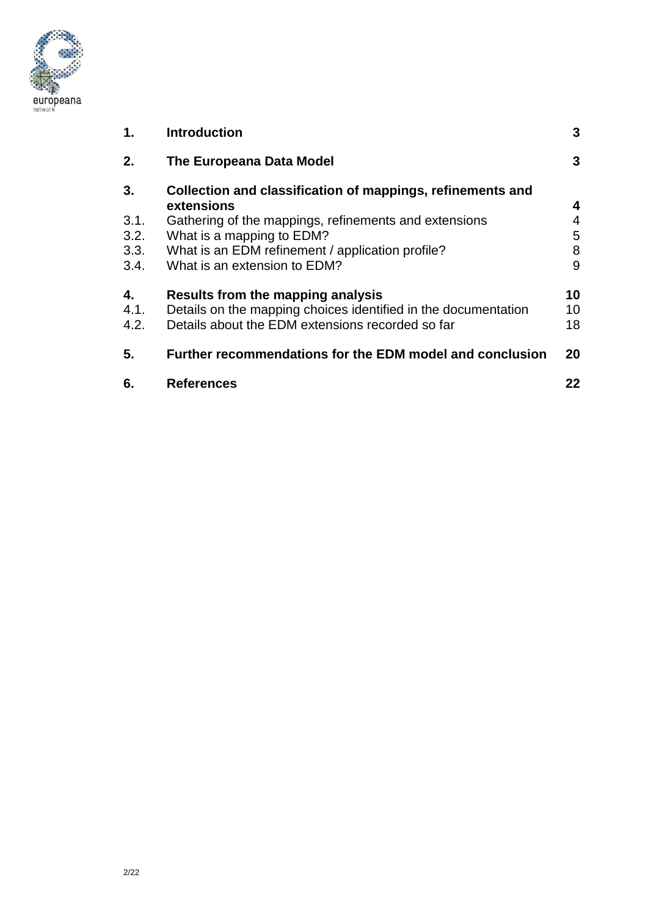

| 1.                         | <b>Introduction</b>                                                                                                                                                                                                | 3                |
|----------------------------|--------------------------------------------------------------------------------------------------------------------------------------------------------------------------------------------------------------------|------------------|
| 2.                         | The Europeana Data Model                                                                                                                                                                                           | 3                |
| 3.<br>3.1.<br>3.2.<br>3.3. | Collection and classification of mappings, refinements and<br>extensions<br>Gathering of the mappings, refinements and extensions<br>What is a mapping to EDM?<br>What is an EDM refinement / application profile? | 4<br>4<br>5<br>8 |
| 3.4.<br>4.                 | What is an extension to EDM?<br>Results from the mapping analysis                                                                                                                                                  | 9<br>10          |
| 4.1.<br>4.2.               | Details on the mapping choices identified in the documentation<br>Details about the EDM extensions recorded so far                                                                                                 | 10<br>18         |
| 5.                         | Further recommendations for the EDM model and conclusion                                                                                                                                                           | 20               |
| 6.                         | <b>References</b>                                                                                                                                                                                                  | 22               |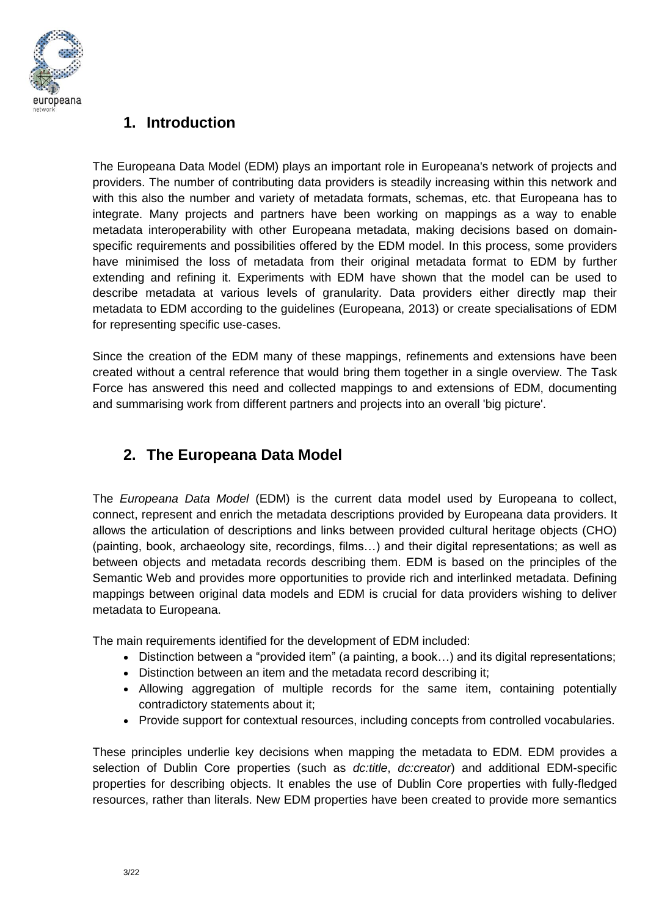

# **1. Introduction**

The Europeana Data Model (EDM) plays an important role in Europeana's network of projects and providers. The number of contributing data providers is steadily increasing within this network and with this also the number and variety of metadata formats, schemas, etc. that Europeana has to integrate. Many projects and partners have been working on mappings as a way to enable metadata interoperability with other Europeana metadata, making decisions based on domainspecific requirements and possibilities offered by the EDM model. In this process, some providers have minimised the loss of metadata from their original metadata format to EDM by further extending and refining it. Experiments with EDM have shown that the model can be used to describe metadata at various levels of granularity. Data providers either directly map their metadata to EDM according to the guidelines (Europeana, 2013) or create specialisations of EDM for representing specific use-cases.

Since the creation of the EDM many of these mappings, refinements and extensions have been created without a central reference that would bring them together in a single overview. The Task Force has answered this need and collected mappings to and extensions of EDM, documenting and summarising work from different partners and projects into an overall 'big picture'.

# **2. The Europeana Data Model**

The *Europeana Data Model* (EDM) is the current data model used by Europeana to collect, connect, represent and enrich the metadata descriptions provided by Europeana data providers. It allows the articulation of descriptions and links between provided cultural heritage objects (CHO) (painting, book, archaeology site, recordings, films…) and their digital representations; as well as between objects and metadata records describing them. EDM is based on the principles of the Semantic Web and provides more opportunities to provide rich and interlinked metadata. Defining mappings between original data models and EDM is crucial for data providers wishing to deliver metadata to Europeana.

The main requirements identified for the development of EDM included:

- Distinction between a "provided item" (a painting, a book…) and its digital representations;
- Distinction between an item and the metadata record describing it;
- Allowing aggregation of multiple records for the same item, containing potentially contradictory statements about it;
- Provide support for contextual resources, including concepts from controlled vocabularies.

These principles underlie key decisions when mapping the metadata to EDM. EDM provides a selection of Dublin Core properties (such as *dc:title*, *dc:creator*) and additional EDM-specific properties for describing objects. It enables the use of Dublin Core properties with fully-fledged resources, rather than literals. New EDM properties have been created to provide more semantics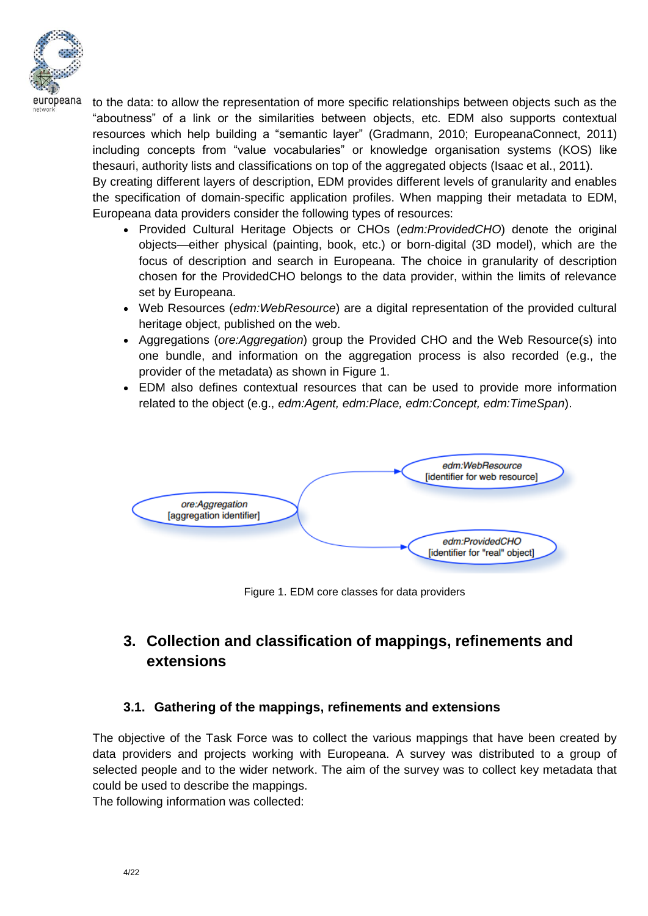

to the data: to allow the representation of more specific relationships between objects such as the "aboutness" of a link or the similarities between objects, etc. EDM also supports contextual resources which help building a "semantic layer" (Gradmann, 2010; EuropeanaConnect, 2011) including concepts from "value vocabularies" or knowledge organisation systems (KOS) like thesauri, authority lists and classifications on top of the aggregated objects (Isaac et al., 2011).

By creating different layers of description, EDM provides different levels of granularity and enables the specification of domain-specific application profiles. When mapping their metadata to EDM, Europeana data providers consider the following types of resources:

- Provided Cultural Heritage Objects or CHOs (*edm:ProvidedCHO*) denote the original objects—either physical (painting, book, etc.) or born-digital (3D model), which are the focus of description and search in Europeana. The choice in granularity of description chosen for the ProvidedCHO belongs to the data provider, within the limits of relevance set by Europeana.
- Web Resources (*edm:WebResource*) are a digital representation of the provided cultural heritage object, published on the web.
- Aggregations (*ore:Aggregation*) group the Provided CHO and the Web Resource(s) into one bundle, and information on the aggregation process is also recorded (e.g., the provider of the metadata) as shown in Figure 1.
- EDM also defines contextual resources that can be used to provide more information related to the object (e.g., *edm:Agent, edm:Place, edm:Concept, edm:TimeSpan*).



Figure 1. EDM core classes for data providers

# **3. Collection and classification of mappings, refinements and extensions**

## **3.1. Gathering of the mappings, refinements and extensions**

The objective of the Task Force was to collect the various mappings that have been created by data providers and projects working with Europeana. A survey was distributed to a group of selected people and to the wider network. The aim of the survey was to collect key metadata that could be used to describe the mappings.

The following information was collected: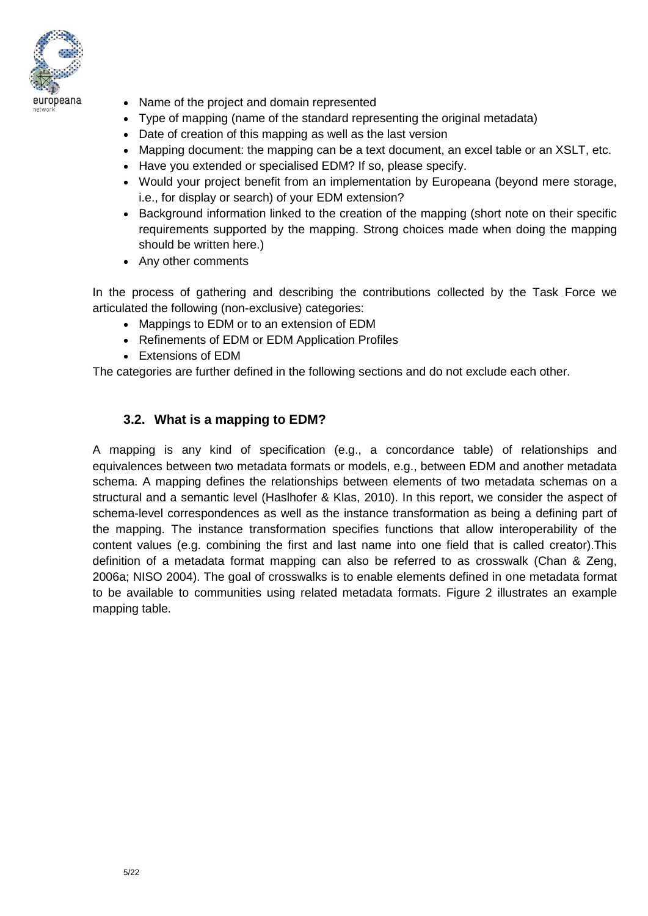

- Name of the project and domain represented
- Type of mapping (name of the standard representing the original metadata)
- Date of creation of this mapping as well as the last version
- Mapping document: the mapping can be a text document, an excel table or an XSLT, etc.
- Have you extended or specialised EDM? If so, please specify.
- Would your project benefit from an implementation by Europeana (beyond mere storage, i.e., for display or search) of your EDM extension?
- Background information linked to the creation of the mapping (short note on their specific requirements supported by the mapping. Strong choices made when doing the mapping should be written here.)
- Any other comments

In the process of gathering and describing the contributions collected by the Task Force we articulated the following (non-exclusive) categories:

- Mappings to EDM or to an extension of EDM
- Refinements of EDM or EDM Application Profiles
- Extensions of EDM

The categories are further defined in the following sections and do not exclude each other.

## **3.2. What is a mapping to EDM?**

A mapping is any kind of specification (e.g., a concordance table) of relationships and equivalences between two metadata formats or models, e.g., between EDM and another metadata schema. A mapping defines the relationships between elements of two metadata schemas on a structural and a semantic level (Haslhofer & Klas, 2010). In this report, we consider the aspect of schema-level correspondences as well as the instance transformation as being a defining part of the mapping. The instance transformation specifies functions that allow interoperability of the content values (e.g. combining the first and last name into one field that is called creator).This definition of a metadata format mapping can also be referred to as crosswalk (Chan & Zeng, 2006a; NISO 2004). The goal of crosswalks is to enable elements defined in one metadata format to be available to communities using related metadata formats. Figure 2 illustrates an example mapping table.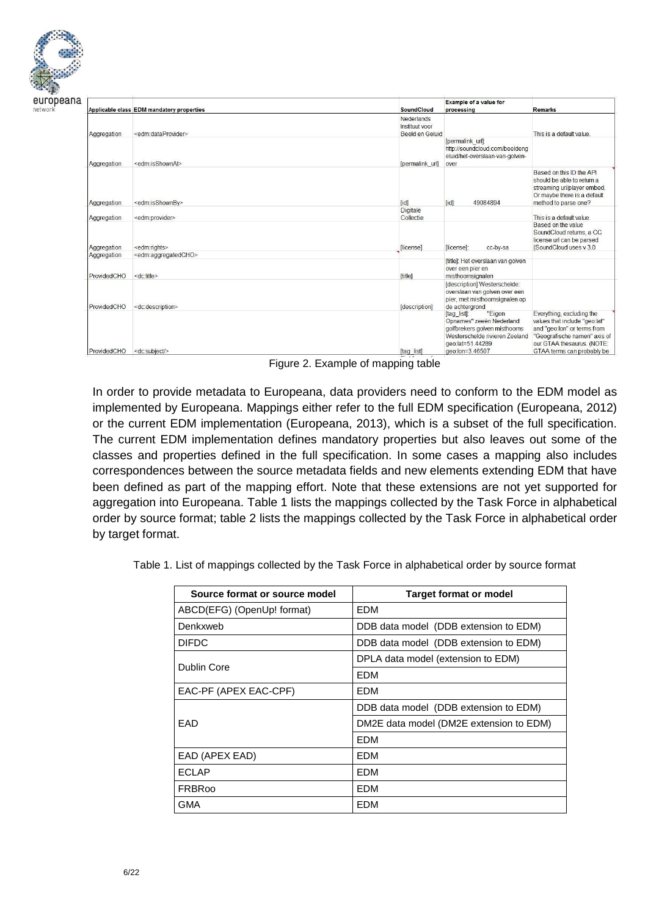

| network |  |  |  |
|---------|--|--|--|
|         |  |  |  |

|             | Applicable class EDM mandatory properties | SoundCloud      | Example of a value for<br>processing                                                                                                                        | <b>Remarks</b>                                                                                                                                                                        |
|-------------|-------------------------------------------|-----------------|-------------------------------------------------------------------------------------------------------------------------------------------------------------|---------------------------------------------------------------------------------------------------------------------------------------------------------------------------------------|
|             |                                           | Nederlands      |                                                                                                                                                             |                                                                                                                                                                                       |
|             |                                           | Instituut voor  |                                                                                                                                                             |                                                                                                                                                                                       |
| Aggregation | <edm:dataprovider></edm:dataprovider>     | Beeld en Geluid |                                                                                                                                                             | This is a default value.                                                                                                                                                              |
| Aggregation | <edm:isshownat></edm:isshownat>           | [permalink url] | [permalink url]:<br>http://soundcloud.com/beeldeng<br>eluid/het-overslaan-van-golven-<br>over                                                               |                                                                                                                                                                                       |
| Aggregation | <edm:isshownby></edm:isshownby>           | $\lceil$ id     | 49084894<br>$\left[ \text{id} \right]$ :                                                                                                                    | Based on this ID the API<br>should be able to return a<br>streaming url/player embed.<br>Or maybe there is a default<br>method to parse one?                                          |
|             |                                           | Digitale        |                                                                                                                                                             |                                                                                                                                                                                       |
| Aggregation | <edm:provider></edm:provider>             | Collectie       |                                                                                                                                                             | This is a default value                                                                                                                                                               |
| Aggregation | <edm:rights></edm:rights>                 | [license]       | flicensel:<br>cc-by-sa                                                                                                                                      | Based on the value<br>SoundCloud returns, a CC<br>license url can be parsed<br>(SoundCloud uses v 3.0)                                                                                |
| Aggregation | <edm:aggregatedcho></edm:aggregatedcho>   |                 | [title]: Het overslaan van golven                                                                                                                           |                                                                                                                                                                                       |
| ProvidedCHO | <dc:title></dc:title>                     | [title]         | over een pier en<br>misthoornsignalen                                                                                                                       |                                                                                                                                                                                       |
| ProvidedCHO | <dc:description></dc:description>         | [description]   | [description] Westerschelde:<br>overslaan van golven over een<br>pier, met misthoornsignalen op<br>de achtergrond                                           |                                                                                                                                                                                       |
| ProvidedCHO | <dc:subject></dc:subject>                 | Itag listl      | "Eigen<br>[tag list]:<br>Opnames" zeeën Nederland<br>golfbrekers golven misthoorns<br>Westerschelde rivieren Zeeland<br>geo:lat=51.44289<br>geo:lon=3 46507 | Everything, excluding the<br>values that include "geo:lat"<br>and "geo:lon" or terms from<br>"Geografische namen" axis of<br>our GTAA thesaurus. (NOTE:<br>GTAA terms can probably be |

Figure 2. Example of mapping table

In order to provide metadata to Europeana, data providers need to conform to the EDM model as implemented by Europeana. Mappings either refer to the full EDM specification (Europeana, 2012) or the current EDM implementation (Europeana, 2013), which is a subset of the full specification. The current EDM implementation defines mandatory properties but also leaves out some of the classes and properties defined in the full specification. In some cases a mapping also includes correspondences between the source metadata fields and new elements extending EDM that have been defined as part of the mapping effort. Note that these extensions are not yet supported for aggregation into Europeana. Table 1 lists the mappings collected by the Task Force in alphabetical order by source format; table 2 lists the mappings collected by the Task Force in alphabetical order by target format.

Table 1. List of mappings collected by the Task Force in alphabetical order by source format

| Source format or source model | <b>Target format or model</b>           |
|-------------------------------|-----------------------------------------|
| ABCD(EFG) (OpenUp! format)    | EDM                                     |
| Denkxweb                      | DDB data model (DDB extension to EDM)   |
| <b>DIFDC</b>                  | DDB data model (DDB extension to EDM)   |
| Dublin Core                   | DPLA data model (extension to EDM)      |
|                               | <b>EDM</b>                              |
| EAC-PF (APEX EAC-CPF)         | <b>FDM</b>                              |
|                               | DDB data model (DDB extension to EDM)   |
| FAD                           | DM2E data model (DM2E extension to EDM) |
|                               | <b>FDM</b>                              |
| EAD (APEX EAD)                | <b>FDM</b>                              |
| <b>ECLAP</b>                  | EDM                                     |
| <b>FRBRoo</b>                 | <b>EDM</b>                              |
| GMA                           | EDM                                     |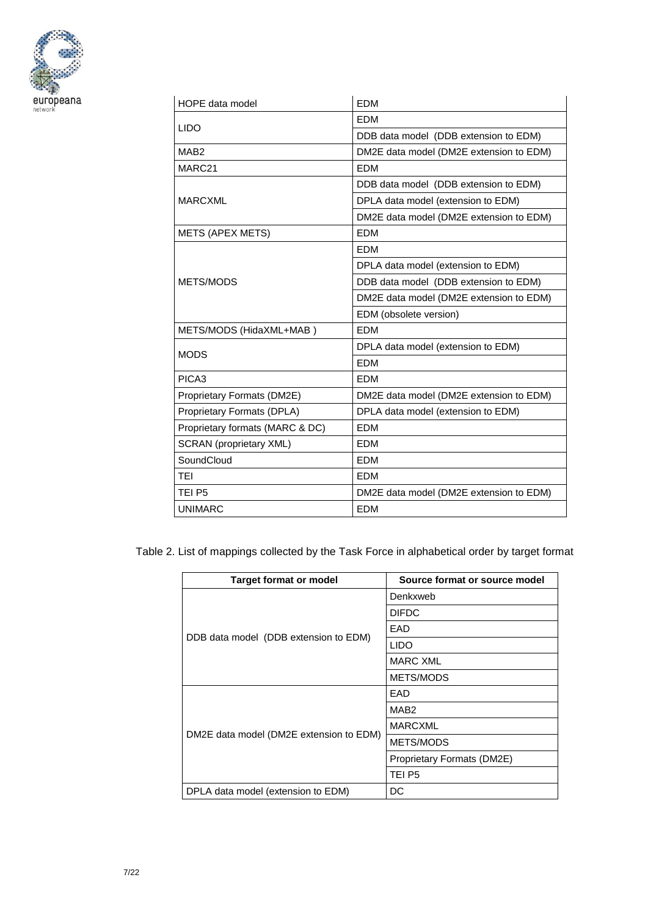

| HOPE data model                 | <b>EDM</b>                              |  |  |
|---------------------------------|-----------------------------------------|--|--|
| <b>LIDO</b>                     | <b>EDM</b>                              |  |  |
|                                 | DDB data model (DDB extension to EDM)   |  |  |
| MAB <sub>2</sub>                | DM2E data model (DM2E extension to EDM) |  |  |
| MARC21                          | <b>EDM</b>                              |  |  |
|                                 | DDB data model (DDB extension to EDM)   |  |  |
| <b>MARCXML</b>                  | DPLA data model (extension to EDM)      |  |  |
|                                 | DM2E data model (DM2E extension to EDM) |  |  |
| <b>METS (APEX METS)</b>         | <b>EDM</b>                              |  |  |
|                                 | <b>EDM</b>                              |  |  |
|                                 | DPLA data model (extension to EDM)      |  |  |
| METS/MODS                       | DDB data model (DDB extension to EDM)   |  |  |
|                                 | DM2E data model (DM2E extension to EDM) |  |  |
|                                 | EDM (obsolete version)                  |  |  |
| METS/MODS (HidaXML+MAB)         | <b>EDM</b>                              |  |  |
| <b>MODS</b>                     | DPLA data model (extension to EDM)      |  |  |
|                                 | <b>EDM</b>                              |  |  |
| PICA3                           | <b>EDM</b>                              |  |  |
| Proprietary Formats (DM2E)      | DM2E data model (DM2E extension to EDM) |  |  |
| Proprietary Formats (DPLA)      | DPLA data model (extension to EDM)      |  |  |
| Proprietary formats (MARC & DC) | <b>EDM</b>                              |  |  |
| <b>SCRAN</b> (proprietary XML)  | <b>EDM</b>                              |  |  |
| SoundCloud                      | <b>EDM</b>                              |  |  |
| <b>TEI</b>                      | <b>EDM</b>                              |  |  |
| TEI P5                          | DM2E data model (DM2E extension to EDM) |  |  |
| <b>UNIMARC</b>                  | <b>EDM</b>                              |  |  |

Table 2. List of mappings collected by the Task Force in alphabetical order by target format

| <b>Target format or model</b>           | Source format or source model |
|-----------------------------------------|-------------------------------|
|                                         | Denkxweb                      |
|                                         | <b>DIFDC</b>                  |
|                                         | EAD                           |
| DDB data model (DDB extension to EDM)   | <b>LIDO</b>                   |
|                                         | <b>MARC XML</b>               |
|                                         | <b>METS/MODS</b>              |
|                                         | EAD                           |
|                                         | MAB <sub>2</sub>              |
|                                         | <b>MARCXML</b>                |
| DM2E data model (DM2E extension to EDM) | METS/MODS                     |
|                                         | Proprietary Formats (DM2E)    |
|                                         | TEI P5                        |
| DPLA data model (extension to EDM)      | DC                            |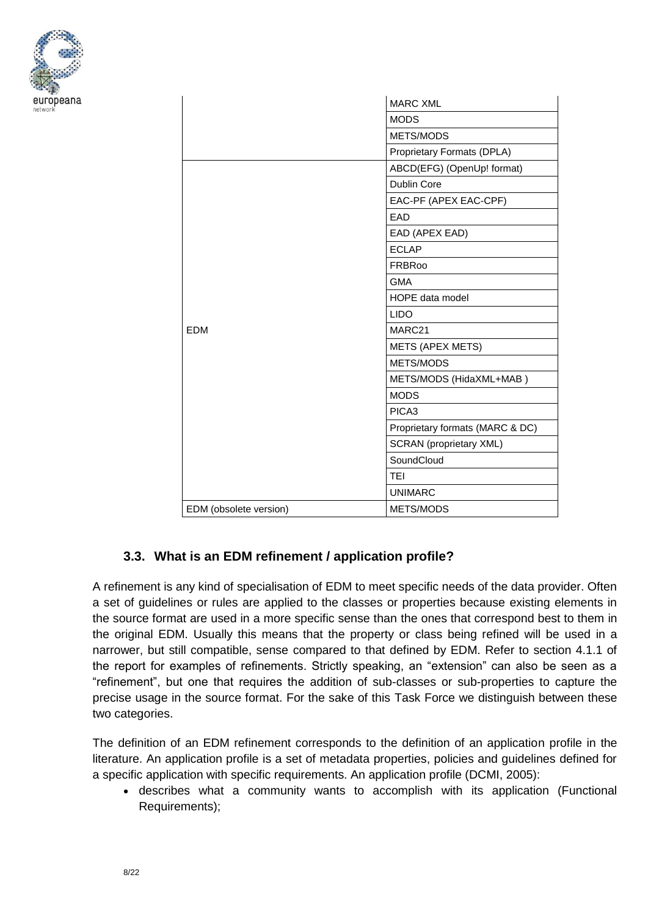

|                        | <b>MARC XML</b>                 |
|------------------------|---------------------------------|
|                        | <b>MODS</b>                     |
|                        | METS/MODS                       |
|                        | Proprietary Formats (DPLA)      |
|                        | ABCD(EFG) (OpenUp! format)      |
|                        | <b>Dublin Core</b>              |
|                        | EAC-PF (APEX EAC-CPF)           |
|                        | EAD                             |
|                        | EAD (APEX EAD)                  |
|                        | <b>ECLAP</b>                    |
|                        | <b>FRBRoo</b>                   |
|                        | <b>GMA</b>                      |
|                        | HOPE data model                 |
|                        | <b>LIDO</b>                     |
| <b>EDM</b>             | MARC21                          |
|                        | <b>METS (APEX METS)</b>         |
|                        | METS/MODS                       |
|                        | METS/MODS (HidaXML+MAB)         |
|                        | <b>MODS</b>                     |
|                        | PICA <sub>3</sub>               |
|                        | Proprietary formats (MARC & DC) |
|                        | <b>SCRAN</b> (proprietary XML)  |
|                        | SoundCloud                      |
|                        | <b>TEI</b>                      |
|                        | <b>UNIMARC</b>                  |
| EDM (obsolete version) | METS/MODS                       |

## **3.3. What is an EDM refinement / application profile?**

A refinement is any kind of specialisation of EDM to meet specific needs of the data provider. Often a set of guidelines or rules are applied to the classes or properties because existing elements in the source format are used in a more specific sense than the ones that correspond best to them in the original EDM. Usually this means that the property or class being refined will be used in a narrower, but still compatible, sense compared to that defined by EDM. Refer to section 4.1.1 of the report for examples of refinements. Strictly speaking, an "extension" can also be seen as a "refinement", but one that requires the addition of sub-classes or sub-properties to capture the precise usage in the source format. For the sake of this Task Force we distinguish between these two categories.

The definition of an EDM refinement corresponds to the definition of an application profile in the literature. An application profile is a set of metadata properties, policies and guidelines defined for a specific application with specific requirements. An application profile (DCMI, 2005):

 describes what a community wants to accomplish with its application (Functional Requirements);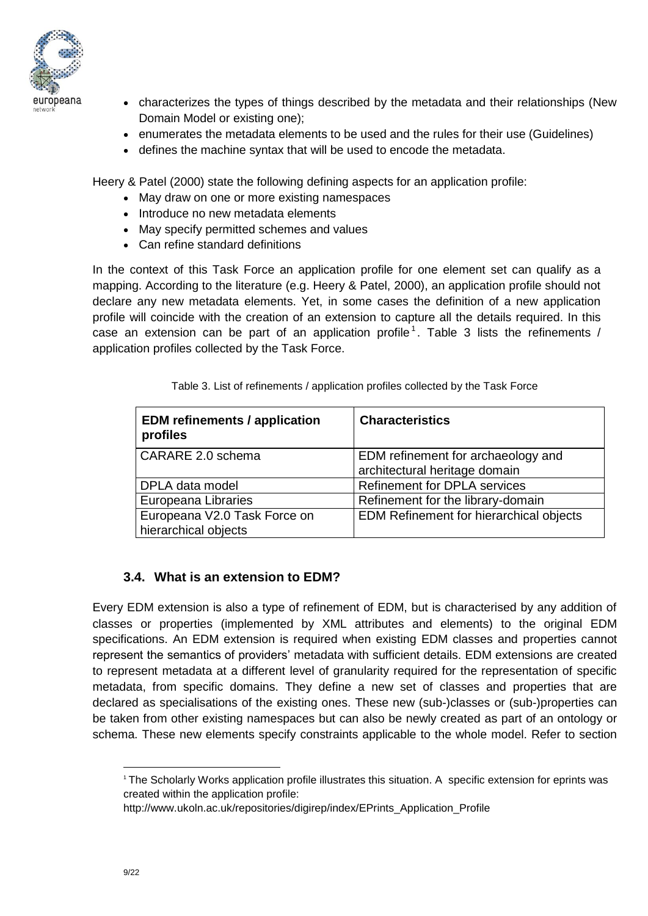

- characterizes the types of things described by the metadata and their relationships (New Domain Model or existing one);
	- enumerates the metadata elements to be used and the rules for their use (Guidelines)
	- defines the machine syntax that will be used to encode the metadata.

Heery & Patel (2000) state the following defining aspects for an application profile:

- May draw on one or more existing namespaces
- Introduce no new metadata elements
- May specify permitted schemes and values
- Can refine standard definitions

In the context of this Task Force an application profile for one element set can qualify as a mapping. According to the literature (e.g. Heery & Patel, 2000), an application profile should not declare any new metadata elements. Yet, in some cases the definition of a new application profile will coincide with the creation of an extension to capture all the details required. In this case an extension can be part of an application profile<sup>1</sup>. Table 3 lists the refinements / application profiles collected by the Task Force.

| <b>EDM</b> refinements / application<br>profiles     | <b>Characteristics</b>                                              |
|------------------------------------------------------|---------------------------------------------------------------------|
| CARARE 2.0 schema                                    | EDM refinement for archaeology and<br>architectural heritage domain |
| DPLA data model                                      | <b>Refinement for DPLA services</b>                                 |
| Europeana Libraries                                  | Refinement for the library-domain                                   |
| Europeana V2.0 Task Force on<br>hierarchical objects | <b>EDM Refinement for hierarchical objects</b>                      |

Table 3. List of refinements / application profiles collected by the Task Force

## **3.4. What is an extension to EDM?**

Every EDM extension is also a type of refinement of EDM, but is characterised by any addition of classes or properties (implemented by XML attributes and elements) to the original EDM specifications. An EDM extension is required when existing EDM classes and properties cannot represent the semantics of providers' metadata with sufficient details. EDM extensions are created to represent metadata at a different level of granularity required for the representation of specific metadata, from specific domains. They define a new set of classes and properties that are declared as specialisations of the existing ones. These new (sub-)classes or (sub-)properties can be taken from other existing namespaces but can also be newly created as part of an ontology or schema. These new elements specify constraints applicable to the whole model. Refer to section

<sup>1</sup> The Scholarly Works application profile illustrates this situation. A specific extension for eprints was created within the application profile:

[http://www.ukoln.ac.uk/repositories/digirep/index/EPrints\\_Application\\_Profile](http://www.ukoln.ac.uk/repositories/digirep/index/EPrints_Application_Profile)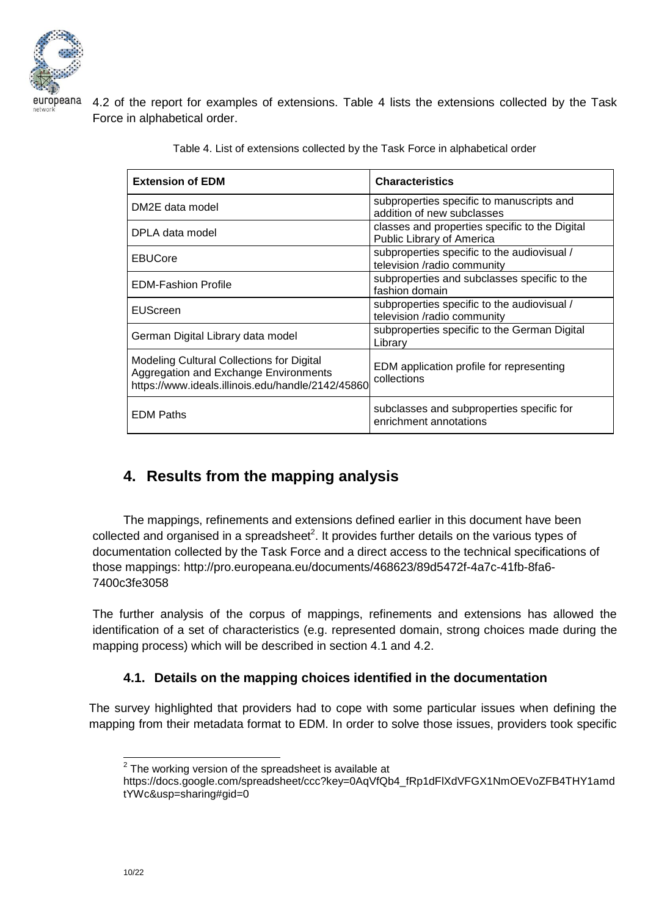

4.2 of the report for examples of extensions. Table 4 lists the extensions collected by the Task Force in alphabetical order.

| <b>Extension of EDM</b>                                                                                                                        | <b>Characteristics</b>                                                      |
|------------------------------------------------------------------------------------------------------------------------------------------------|-----------------------------------------------------------------------------|
| DM2E data model                                                                                                                                | subproperties specific to manuscripts and<br>addition of new subclasses     |
| DPLA data model                                                                                                                                | classes and properties specific to the Digital<br>Public Library of America |
| <b>EBUCore</b>                                                                                                                                 | subproperties specific to the audiovisual /<br>television /radio community  |
| <b>EDM-Fashion Profile</b>                                                                                                                     | subproperties and subclasses specific to the<br>fashion domain              |
| EUScreen                                                                                                                                       | subproperties specific to the audiovisual /<br>television /radio community  |
| German Digital Library data model                                                                                                              | subproperties specific to the German Digital<br>Library                     |
| <b>Modeling Cultural Collections for Digital</b><br>Aggregation and Exchange Environments<br>https://www.ideals.illinois.edu/handle/2142/45860 | EDM application profile for representing<br>collections                     |
| <b>EDM Paths</b>                                                                                                                               | subclasses and subproperties specific for<br>enrichment annotations         |

Table 4. List of extensions collected by the Task Force in alphabetical order

# **4. Results from the mapping analysis**

The mappings, refinements and extensions defined earlier in this document have been collected and organised in a spreadsheet<sup>2</sup>. It provides further details on the various types of documentation collected by the Task Force and a direct access to the technical specifications of those mappings: [http://pro.europeana.eu/documents/468623/89d5472f-4a7c-41fb-8fa6-](http://pro.europeana.eu/documents/468623/89d5472f-4a7c-41fb-8fa6-7400c3fe3058) [7400c3fe3058](http://pro.europeana.eu/documents/468623/89d5472f-4a7c-41fb-8fa6-7400c3fe3058)

The further analysis of the corpus of mappings, refinements and extensions has allowed the identification of a set of characteristics (e.g. represented domain, strong choices made during the mapping process) which will be described in section 4.1 and 4.2.

## **4.1. Details on the mapping choices identified in the documentation**

The survey highlighted that providers had to cope with some particular issues when defining the mapping from their metadata format to EDM. In order to solve those issues, providers took specific

**EXEC 12**<br><sup>2</sup> The working version of the spreadsheet is available at

[https://docs.google.com/spreadsheet/ccc?key=0AqVfQb4\\_fRp1dFlXdVFGX1NmOEVoZFB4THY1amd](https://docs.google.com/spreadsheet/ccc?key=0AqVfQb4_fRp1dFlXdVFGX1NmOEVoZFB4THY1amdtYWc&usp=sharing#gid=0) [tYWc&usp=sharing#gid=0](https://docs.google.com/spreadsheet/ccc?key=0AqVfQb4_fRp1dFlXdVFGX1NmOEVoZFB4THY1amdtYWc&usp=sharing#gid=0)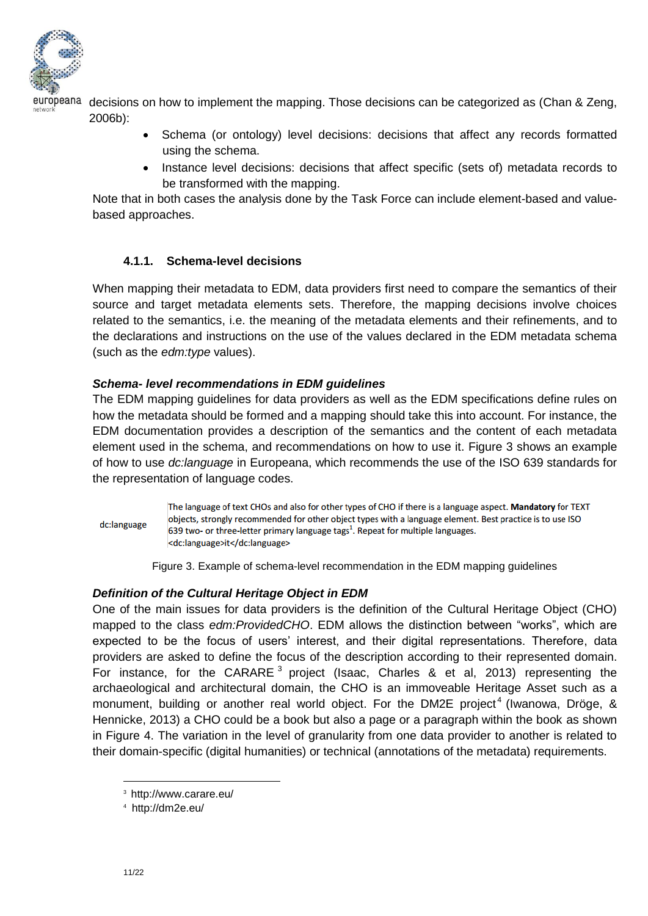

europeana decisions on how to implement the mapping. Those decisions can be categorized as (Chan & Zeng, 2006b):

- Schema (or ontology) level decisions: decisions that affect any records formatted using the schema.
- Instance level decisions: decisions that affect specific (sets of) metadata records to be transformed with the mapping.

Note that in both cases the analysis done by the Task Force can include element-based and valuebased approaches.

### **4.1.1. Schema-level decisions**

When mapping their metadata to EDM, data providers first need to compare the semantics of their source and target metadata elements sets. Therefore, the mapping decisions involve choices related to the semantics, i.e. the meaning of the metadata elements and their refinements, and to the declarations and instructions on the use of the values declared in the EDM metadata schema (such as the *edm:type* values).

#### *Schema- level recommendations in EDM guidelines*

The EDM mapping guidelines for data providers as well as the EDM specifications define rules on how the metadata should be formed and a mapping should take this into account. For instance, the EDM documentation provides a description of the semantics and the content of each metadata element used in the schema, and recommendations on how to use it. Figure 3 shows an example of how to use *dc:language* in Europeana, which recommends the use of the ISO 639 standards for the representation of language codes.

#### dc:language

The language of text CHOs and also for other types of CHO if there is a language aspect. Mandatory for TEXT objects, strongly recommended for other object types with a language element. Best practice is to use ISO 639 two- or three-letter primary language tags<sup>1</sup>. Repeat for multiple languages. <dc:language>it</dc:language>

Figure 3. Example of schema-level recommendation in the EDM mapping guidelines

#### *Definition of the Cultural Heritage Object in EDM*

One of the main issues for data providers is the definition of the Cultural Heritage Object (CHO) mapped to the class *edm:ProvidedCHO*. EDM allows the distinction between "works", which are expected to be the focus of users' interest, and their digital representations. Therefore, data providers are asked to define the focus of the description according to their represented domain. For instance, for the CARARE  $3$  project (Isaac, Charles & et al, 2013) representing the archaeological and architectural domain, the CHO is an immoveable Heritage Asset such as a monument, building or another real world object. For the DM2E project<sup>4</sup> (Iwanowa, Dröge, & Hennicke, 2013) a CHO could be a book but also a page or a paragraph within the book as shown in Figure 4. The variation in the level of granularity from one data provider to another is related to their domain-specific (digital humanities) or technical (annotations of the metadata) requirements.

<sup>3</sup> <http://www.carare.eu/>

<sup>4</sup> <http://dm2e.eu/>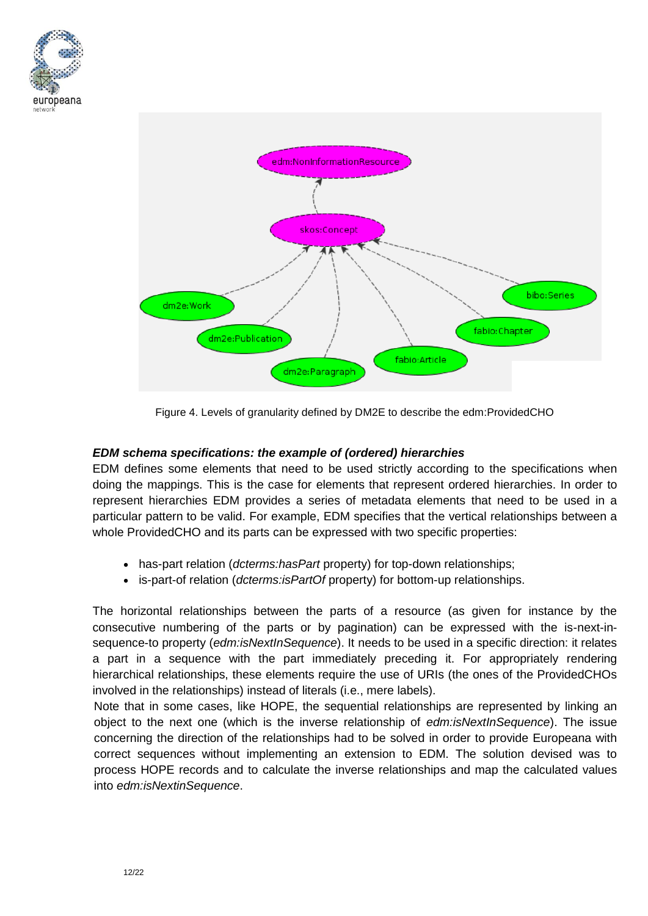



Figure 4. Levels of granularity defined by DM2E to describe the edm:ProvidedCHO

#### *EDM schema specifications: the example of (ordered) hierarchies*

EDM defines some elements that need to be used strictly according to the specifications when doing the mappings. This is the case for elements that represent ordered hierarchies. In order to represent hierarchies EDM provides a series of metadata elements that need to be used in a particular pattern to be valid. For example, EDM specifies that the vertical relationships between a whole ProvidedCHO and its parts can be expressed with two specific properties:

- has-part relation (*dcterms:hasPart* property) for top-down relationships;
- is-part-of relation (*dcterms:isPartOf* property) for bottom-up relationships.

The horizontal relationships between the parts of a resource (as given for instance by the consecutive numbering of the parts or by pagination) can be expressed with the is-next-insequence-to property (*edm:isNextInSequence*). It needs to be used in a specific direction: it relates a part in a sequence with the part immediately preceding it. For appropriately rendering hierarchical relationships, these elements require the use of URIs (the ones of the ProvidedCHOs involved in the relationships) instead of literals (i.e., mere labels).

Note that in some cases, like HOPE, the sequential relationships are represented by linking an object to the next one (which is the inverse relationship of *edm:isNextInSequence*). The issue concerning the direction of the relationships had to be solved in order to provide Europeana with correct sequences without implementing an extension to EDM. The solution devised was to process HOPE records and to calculate the inverse relationships and map the calculated values into *edm:isNextinSequence*.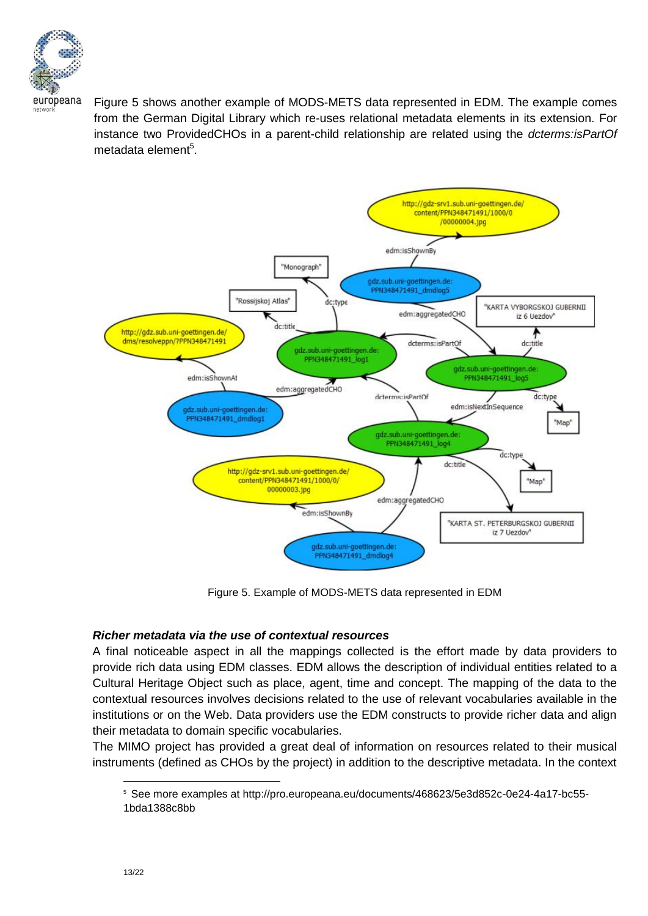

Figure 5 shows another example of MODS-METS data represented in EDM. The example comes from the German Digital Library which re-uses relational metadata elements in its extension. For instance two ProvidedCHOs in a parent-child relationship are related using the *dcterms:isPartOf* metadata element<sup>5</sup>.



Figure 5. Example of MODS-METS data represented in EDM

#### *Richer metadata via the use of contextual resources*

A final noticeable aspect in all the mappings collected is the effort made by data providers to provide rich data using EDM classes. EDM allows the description of individual entities related to a Cultural Heritage Object such as place, agent, time and concept. The mapping of the data to the contextual resources involves decisions related to the use of relevant vocabularies available in the institutions or on the Web. Data providers use the EDM constructs to provide richer data and align their metadata to domain specific vocabularies.

The MIMO project has provided a great deal of information on resources related to their musical instruments (defined as CHOs by the project) in addition to the descriptive metadata. In the context

<sup>5</sup> See more examples at [http://pro.europeana.eu/documents/468623/5e3d852c-0e24-4a17-bc55-](http://pro.europeana.eu/documents/468623/5e3d852c-0e24-4a17-bc55-1bda1388c8bb) [1bda1388c8bb](http://pro.europeana.eu/documents/468623/5e3d852c-0e24-4a17-bc55-1bda1388c8bb)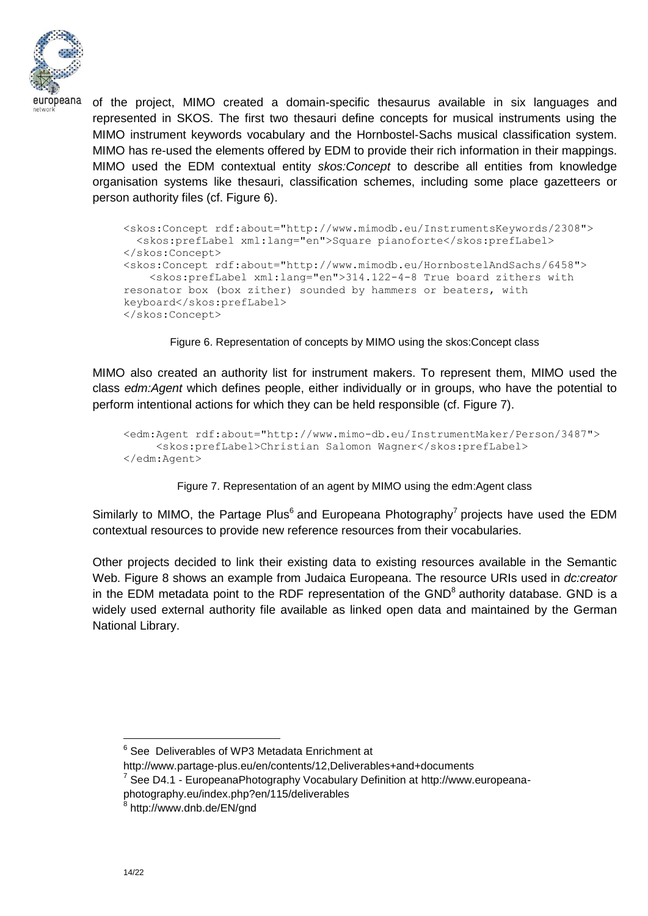

of the project, MIMO created a domain-specific thesaurus available in six languages and represented in SKOS. The first two thesauri define concepts for musical instruments using the MIMO instrument keywords vocabulary and the Hornbostel‐Sachs musical classification system. MIMO has re-used the elements offered by EDM to provide their rich information in their mappings. MIMO used the EDM contextual entity *skos:Concept* to describe all entities from knowledge organisation systems like thesauri, classification schemes, including some place gazetteers or person authority files (cf. Figure 6).

```
<skos:Concept rdf:about="http://www.mimodb.eu/InstrumentsKeywords/2308">
  <skos:prefLabel xml:lang="en">Square pianoforte</skos:prefLabel>
</skos:Concept>
<skos:Concept rdf:about="http://www.mimodb.eu/HornbostelAndSachs/6458">
   <skos:prefLabel xml:lang="en">314.122-4-8 True board zithers with 
resonator box (box zither) sounded by hammers or beaters, with 
keyboard</skos:prefLabel>
</skos:Concept>
```
Figure 6. Representation of concepts by MIMO using the skos:Concept class

MIMO also created an authority list for instrument makers. To represent them, MIMO used the class *edm:Agent* which defines people, either individually or in groups, who have the potential to perform intentional actions for which they can be held responsible (cf. Figure 7).

```
<edm:Agent rdf:about="http://www.mimo-db.eu/InstrumentMaker/Person/3487">
    <skos:prefLabel>Christian Salomon Wagner</skos:prefLabel>
</edm:Agent>
```
#### Figure 7. Representation of an agent by MIMO using the edm:Agent class

Similarly to MIMO, the Partage Plus<sup>6</sup> and Europeana Photography<sup>7</sup> projects have used the EDM contextual resources to provide new reference resources from their vocabularies.

Other projects decided to link their existing data to existing resources available in the Semantic Web. Figure 8 shows an example from Judaica Europeana. The resource URIs used in *dc:creator* in the EDM metadata point to the RDF representation of the GND<sup>8</sup> authority database. GND is a widely used external authority file available as linked open data and maintained by the German National Library.

<sup>&</sup>lt;sup>6</sup> See Deliverables of WP3 Metadata Enrichment at

<http://www.partage-plus.eu/en/contents/12,Deliverables+and+documents>

<sup>&</sup>lt;sup>7</sup> See D4.1 - EuropeanaPhotography Vocabulary Definition at http://www.europeana-

photography.eu/index.php?en/115/deliverables

<sup>&</sup>lt;sup>8</sup> [http://www.dnb.de/EN/gnd](http://www.dnb.de/EN/Standardisierung/GND/gnd.html;jsessionid=C58BE52A28182F98E706774F8C2F0234.prod-worker2)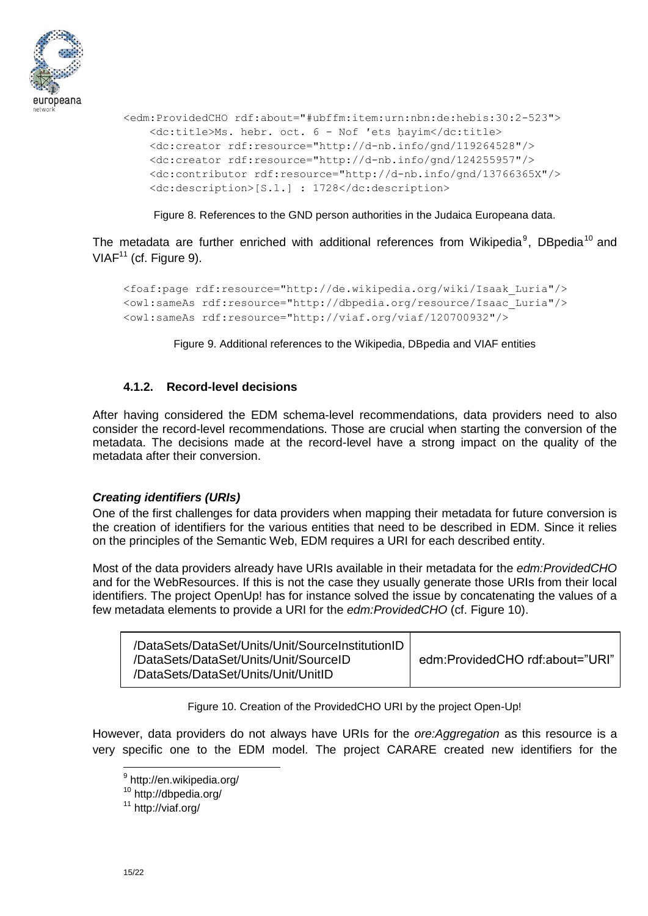

```
<edm:ProvidedCHO rdf:about="#ubffm:item:urn:nbn:de:hebis:30:2-523">
    <dc:title>Ms. hebr. oct. 6 - Nof ʹets ḥayim</dc:title>
    <dc:creator rdf:resource="http://d-nb.info/gnd/119264528"/>
    <dc:creator rdf:resource="http://d-nb.info/gnd/124255957"/>
    <dc:contributor rdf:resource="http://d-nb.info/gnd/13766365X"/>
    <dc:description>[S.l.] : 1728</dc:description>
```
Figure 8. References to the GND person authorities in the Judaica Europeana data.

The metadata are further enriched with additional references from Wikipedia<sup>9</sup>, DBpedia<sup>10</sup> and  $VIAF<sup>11</sup>$  (cf. Figure 9).

```
<foaf:page rdf:resource="http://de.wikipedia.org/wiki/Isaak_Luria"/>
<owl:sameAs rdf:resource="http://dbpedia.org/resource/Isaac_Luria"/>
<owl:sameAs rdf:resource="http://viaf.org/viaf/120700932"/>
```
Figure 9. Additional references to the Wikipedia, DBpedia and VIAF entities

#### **4.1.2. Record-level decisions**

After having considered the EDM schema-level recommendations, data providers need to also consider the record-level recommendations. Those are crucial when starting the conversion of the metadata. The decisions made at the record-level have a strong impact on the quality of the metadata after their conversion.

#### *Creating identifiers (URIs)*

One of the first challenges for data providers when mapping their metadata for future conversion is the creation of identifiers for the various entities that need to be described in EDM. Since it relies on the principles of the Semantic Web, EDM requires a URI for each described entity.

Most of the data providers already have URIs available in their metadata for the *edm:ProvidedCHO*  and for the WebResources. If this is not the case they usually generate those URIs from their local identifiers. The project OpenUp! has for instance solved the issue by concatenating the values of a few metadata elements to provide a URI for the *edm:ProvidedCHO* (cf. Figure 10).

Figure 10. Creation of the ProvidedCHO URI by the project Open-Up!

However, data providers do not always have URIs for the *ore:Aggregation* as this resource is a very specific one to the EDM model. The project CARARE created new identifiers for the

<sup>&</sup>lt;sup>9</sup><http://en.wikipedia.org/>

<sup>10</sup> <http://dbpedia.org/>

<sup>11</sup> <http://viaf.org/>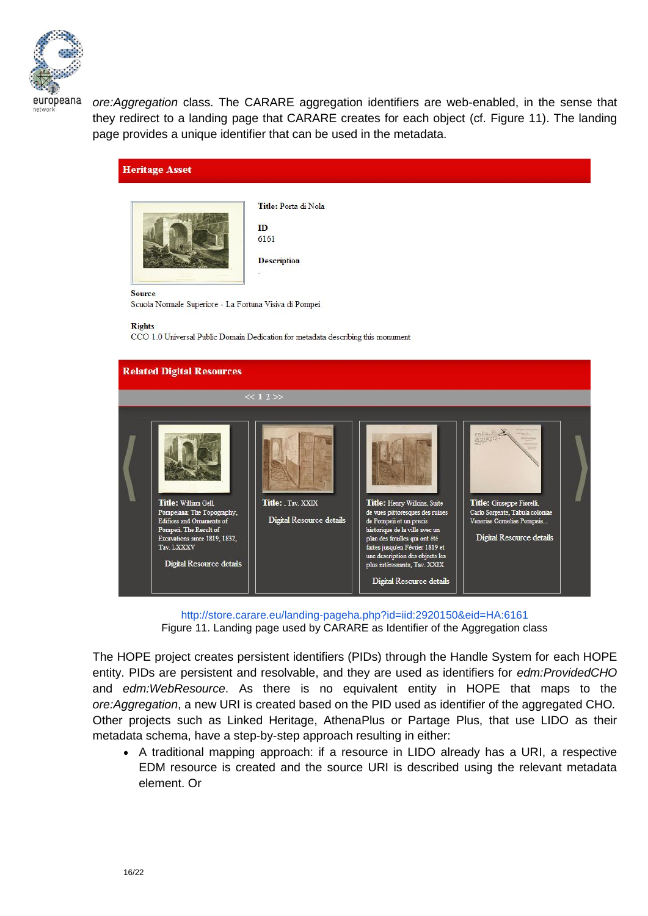

*ore:Aggregation* class. The CARARE aggregation identifiers are web-enabled, in the sense that they redirect to a landing page that CARARE creates for each object (cf. Figure 11). The landing page provides a unique identifier that can be used in the metadata.





Title: Porta di Nola

m 6161 **Description** 

Source

Scuola Normale Superiore - La Fortuna Visiva di Pompei

**Rights** 

CCO 1.0 Universal Public Domain Dedication for metadata describing this monument



<http://store.carare.eu/landing-pageha.php?id=iid:2920150&eid=HA:6161> Figure 11. Landing page used by CARARE as Identifier of the Aggregation class

The HOPE project creates persistent identifiers (PIDs) through the Handle System for each HOPE entity. PIDs are persistent and resolvable, and they are used as identifiers for *edm:ProvidedCHO* and *edm:WebResource*. As there is no equivalent entity in HOPE that maps to the *ore:Aggregation*, a new URI is created based on the PID used as identifier of the aggregated CHO*.* Other projects such as Linked Heritage, AthenaPlus or Partage Plus, that use LIDO as their metadata schema, have a step-by-step approach resulting in either:

 A traditional mapping approach: if a resource in LIDO already has a URI, a respective EDM resource is created and the source URI is described using the relevant metadata element. Or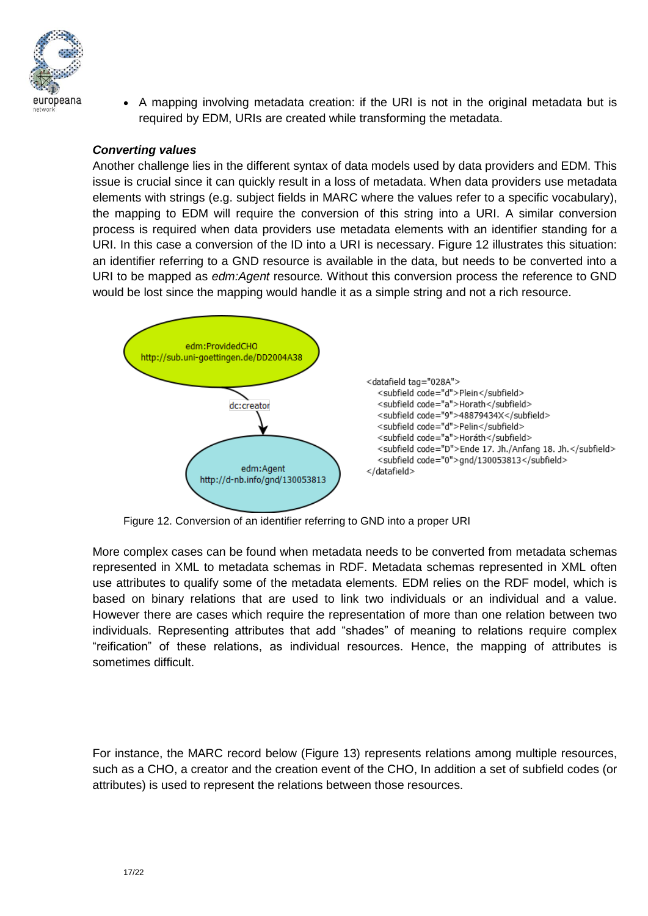

 A mapping involving metadata creation: if the URI is not in the original metadata but is required by EDM, URIs are created while transforming the metadata.

#### *Converting values*

Another challenge lies in the different syntax of data models used by data providers and EDM. This issue is crucial since it can quickly result in a loss of metadata. When data providers use metadata elements with strings (e.g. subject fields in MARC where the values refer to a specific vocabulary), the mapping to EDM will require the conversion of this string into a URI. A similar conversion process is required when data providers use metadata elements with an identifier standing for a URI. In this case a conversion of the ID into a URI is necessary. Figure 12 illustrates this situation: an identifier referring to a GND resource is available in the data, but needs to be converted into a URI to be mapped as *edm:Agent* resource*.* Without this conversion process the reference to GND would be lost since the mapping would handle it as a simple string and not a rich resource.



Figure 12. Conversion of an identifier referring to GND into a proper URI

More complex cases can be found when metadata needs to be converted from metadata schemas represented in XML to metadata schemas in RDF. Metadata schemas represented in XML often use attributes to qualify some of the metadata elements. EDM relies on the RDF model, which is based on binary relations that are used to link two individuals or an individual and a value. However there are cases which require the representation of more than one relation between two individuals. Representing attributes that add "shades" of meaning to relations require complex "reification" of these relations, as individual resources. Hence, the mapping of attributes is sometimes difficult.

For instance, the MARC record below (Figure 13) represents relations among multiple resources, such as a CHO, a creator and the creation event of the CHO, In addition a set of subfield codes (or attributes) is used to represent the relations between those resources.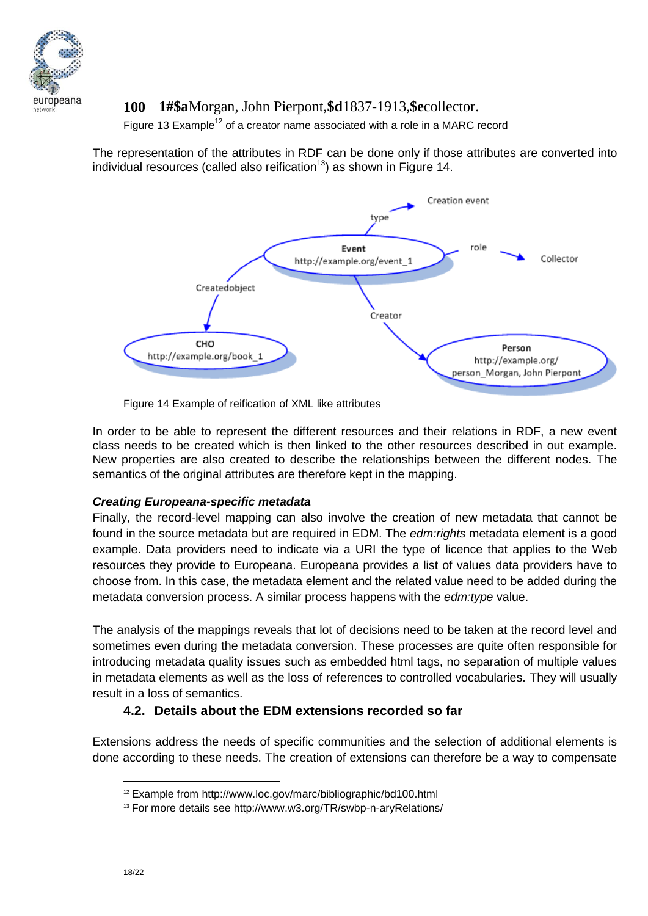

## **100 1#\$a**Morgan, John Pierpont,**\$d**1837-1913,**\$e**collector.

Figure 13 Example<sup>12</sup> of a creator name associated with a role in a MARC record

The representation of the attributes in RDF can be done only if those attributes are converted into individual resources (called also reification<sup>13</sup>) as shown in Figure 14.



Figure 14 Example of reification of XML like attributes

In order to be able to represent the different resources and their relations in RDF, a new event class needs to be created which is then linked to the other resources described in out example. New properties are also created to describe the relationships between the different nodes. The semantics of the original attributes are therefore kept in the mapping.

#### *Creating Europeana-specific metadata*

Finally, the record-level mapping can also involve the creation of new metadata that cannot be found in the source metadata but are required in EDM. The *edm:rights* metadata element is a good example. Data providers need to indicate via a URI the type of licence that applies to the Web resources they provide to Europeana. Europeana provides a list of values data providers have to choose from. In this case, the metadata element and the related value need to be added during the metadata conversion process. A similar process happens with the *edm:type* value.

The analysis of the mappings reveals that lot of decisions need to be taken at the record level and sometimes even during the metadata conversion. These processes are quite often responsible for introducing metadata quality issues such as embedded html tags, no separation of multiple values in metadata elements as well as the loss of references to controlled vocabularies. They will usually result in a loss of semantics.

## **4.2. Details about the EDM extensions recorded so far**

Extensions address the needs of specific communities and the selection of additional elements is done according to these needs. The creation of extensions can therefore be a way to compensate

<sup>12</sup> Example from<http://www.loc.gov/marc/bibliographic/bd100.html>

<sup>13</sup> For more details see<http://www.w3.org/TR/swbp-n-aryRelations/>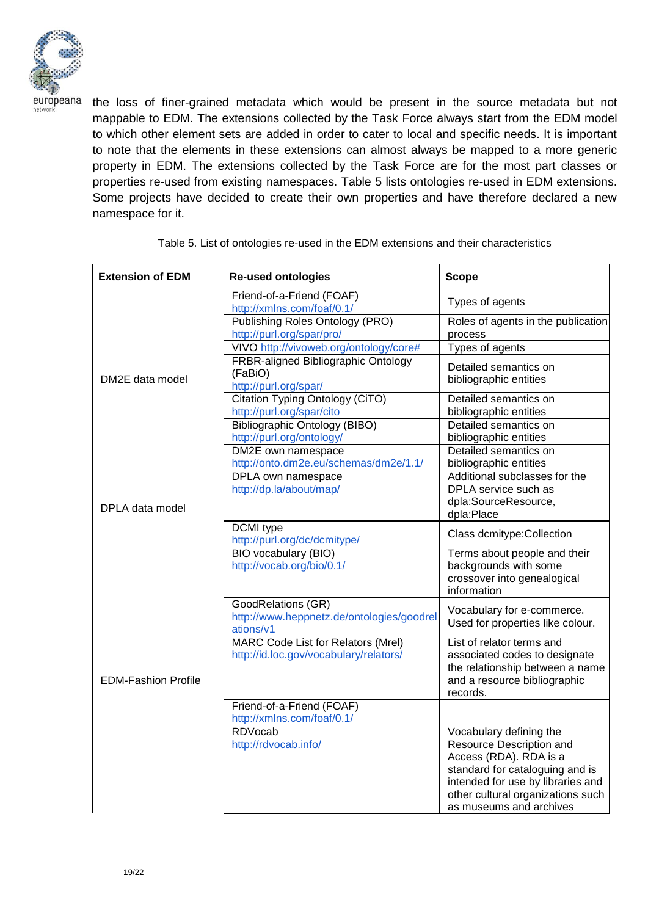

the loss of finer-grained metadata which would be present in the source metadata but not mappable to EDM. The extensions collected by the Task Force always start from the EDM model to which other element sets are added in order to cater to local and specific needs. It is important to note that the elements in these extensions can almost always be mapped to a more generic property in EDM. The extensions collected by the Task Force are for the most part classes or properties re-used from existing namespaces. Table 5 lists ontologies re-used in EDM extensions. Some projects have decided to create their own properties and have therefore declared a new namespace for it.

| <b>Extension of EDM</b>    | <b>Re-used ontologies</b>                                                    | <b>Scope</b>                                                                                                                                                                                                          |
|----------------------------|------------------------------------------------------------------------------|-----------------------------------------------------------------------------------------------------------------------------------------------------------------------------------------------------------------------|
|                            | Friend-of-a-Friend (FOAF)<br>http://xmlns.com/foaf/0.1/                      | Types of agents                                                                                                                                                                                                       |
|                            | Publishing Roles Ontology (PRO)<br>http://purl.org/spar/pro/                 | Roles of agents in the publication<br>process                                                                                                                                                                         |
|                            | VIVO http://vivoweb.org/ontology/core#                                       | Types of agents                                                                                                                                                                                                       |
| DM2E data model            | FRBR-aligned Bibliographic Ontology<br>(FaBiO)<br>http://purl.org/spar/      | Detailed semantics on<br>bibliographic entities                                                                                                                                                                       |
|                            | Citation Typing Ontology (CiTO)<br>http://purl.org/spar/cito                 | Detailed semantics on<br>bibliographic entities                                                                                                                                                                       |
|                            | <b>Bibliographic Ontology (BIBO)</b><br>http://purl.org/ontology/            | Detailed semantics on<br>bibliographic entities                                                                                                                                                                       |
|                            | DM2E own namespace<br>http://onto.dm2e.eu/schemas/dm2e/1.1/                  | Detailed semantics on<br>bibliographic entities                                                                                                                                                                       |
| DPLA data model            | DPLA own namespace<br>http://dp.la/about/map/                                | Additional subclasses for the<br>DPLA service such as<br>dpla:SourceResource,<br>dpla:Place                                                                                                                           |
|                            | DCMI type<br>http://purl.org/dc/dcmitype/                                    | Class dcmitype: Collection                                                                                                                                                                                            |
|                            | <b>BIO</b> vocabulary (BIO)<br>http://vocab.org/bio/0.1/                     | Terms about people and their<br>backgrounds with some<br>crossover into genealogical<br>information                                                                                                                   |
|                            | GoodRelations (GR)<br>http://www.heppnetz.de/ontologies/goodrel<br>ations/v1 | Vocabulary for e-commerce.<br>Used for properties like colour.                                                                                                                                                        |
| <b>EDM-Fashion Profile</b> | MARC Code List for Relators (Mrel)<br>http://id.loc.gov/vocabulary/relators/ | List of relator terms and<br>associated codes to designate<br>the relationship between a name<br>and a resource bibliographic<br>records.                                                                             |
|                            | Friend-of-a-Friend (FOAF)<br>http://xmlns.com/foaf/0.1/                      |                                                                                                                                                                                                                       |
|                            | <b>RDVocab</b><br>http://rdvocab.info/                                       | Vocabulary defining the<br>Resource Description and<br>Access (RDA). RDA is a<br>standard for cataloguing and is<br>intended for use by libraries and<br>other cultural organizations such<br>as museums and archives |

Table 5. List of ontologies re-used in the EDM extensions and their characteristics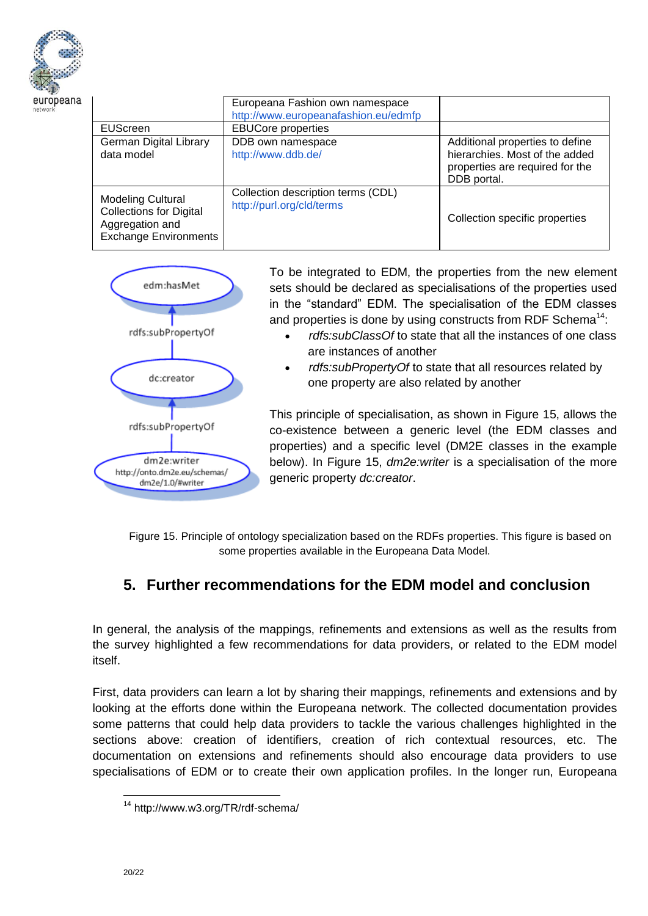

|                                                                                                               | Europeana Fashion own namespace<br>http://www.europeanafashion.eu/edmfp |                                                                                                                     |
|---------------------------------------------------------------------------------------------------------------|-------------------------------------------------------------------------|---------------------------------------------------------------------------------------------------------------------|
| <b>EUScreen</b>                                                                                               | <b>EBUCore properties</b>                                               |                                                                                                                     |
| German Digital Library<br>data model                                                                          | DDB own namespace<br>http://www.ddb.de/                                 | Additional properties to define<br>hierarchies. Most of the added<br>properties are required for the<br>DDB portal. |
| <b>Modeling Cultural</b><br><b>Collections for Digital</b><br>Aggregation and<br><b>Exchange Environments</b> | Collection description terms (CDL)<br>http://purl.org/cld/terms         | Collection specific properties                                                                                      |



To be integrated to EDM, the properties from the new element sets should be declared as specialisations of the properties used in the "standard" EDM. The specialisation of the EDM classes and properties is done by using constructs from RDF Schema<sup>14</sup>:

- *rdfs:subClassOf* to state that all the instances of one class are instances of another
- *rdfs:subPropertyOf* to state that all resources related by one property are also related by another

This principle of specialisation, as shown in Figure 15, allows the co-existence between a generic level (the EDM classes and properties) and a specific level (DM2E classes in the example below). In Figure 15, *dm2e:writer* is a specialisation of the more generic property *dc:creator*.

Figure 15. Principle of ontology specialization based on the RDFs properties. This figure is based on some properties available in the Europeana Data Model.

# **5. Further recommendations for the EDM model and conclusion**

In general, the analysis of the mappings, refinements and extensions as well as the results from the survey highlighted a few recommendations for data providers, or related to the EDM model itself.

First, data providers can learn a lot by sharing their mappings, refinements and extensions and by looking at the efforts done within the Europeana network. The collected documentation provides some patterns that could help data providers to tackle the various challenges highlighted in the sections above: creation of identifiers, creation of rich contextual resources, etc. The documentation on extensions and refinements should also encourage data providers to use specialisations of EDM or to create their own application profiles. In the longer run, Europeana

<sup>14</sup> <http://www.w3.org/TR/rdf-schema/>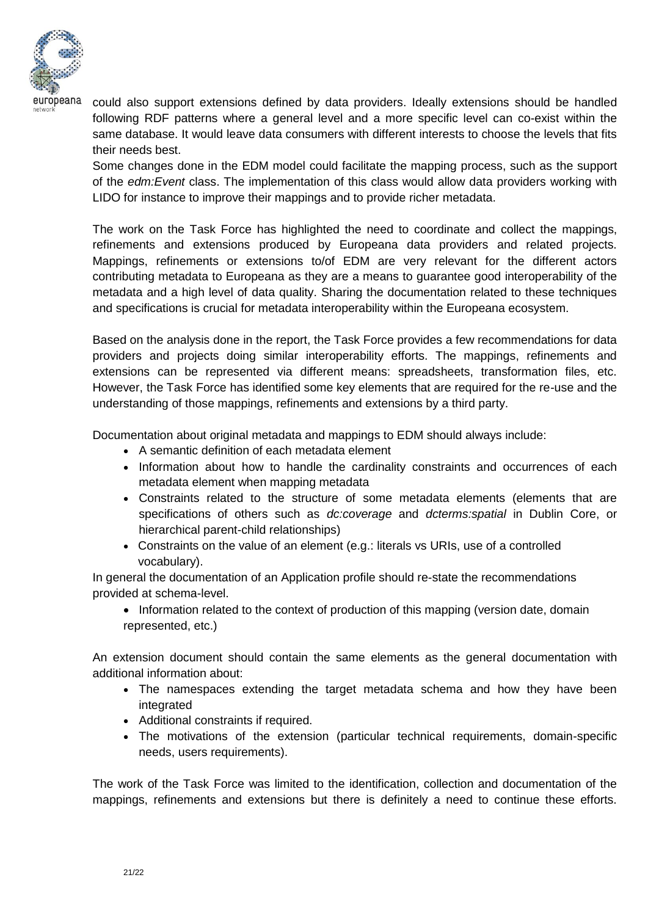

could also support extensions defined by data providers. Ideally extensions should be handled following RDF patterns where a general level and a more specific level can co-exist within the same database. It would leave data consumers with different interests to choose the levels that fits their needs best.

Some changes done in the EDM model could facilitate the mapping process, such as the support of the *edm:Event* class. The implementation of this class would allow data providers working with LIDO for instance to improve their mappings and to provide richer metadata.

The work on the Task Force has highlighted the need to coordinate and collect the mappings, refinements and extensions produced by Europeana data providers and related projects. Mappings, refinements or extensions to/of EDM are very relevant for the different actors contributing metadata to Europeana as they are a means to guarantee good interoperability of the metadata and a high level of data quality. Sharing the documentation related to these techniques and specifications is crucial for metadata interoperability within the Europeana ecosystem.

Based on the analysis done in the report, the Task Force provides a few recommendations for data providers and projects doing similar interoperability efforts. The mappings, refinements and extensions can be represented via different means: spreadsheets, transformation files, etc. However, the Task Force has identified some key elements that are required for the re-use and the understanding of those mappings, refinements and extensions by a third party.

Documentation about original metadata and mappings to EDM should always include:

- A semantic definition of each metadata element
- Information about how to handle the cardinality constraints and occurrences of each metadata element when mapping metadata
- Constraints related to the structure of some metadata elements (elements that are specifications of others such as *dc:coverage* and *dcterms:spatial* in Dublin Core, or hierarchical parent-child relationships)
- Constraints on the value of an element (e.g.: literals vs URIs, use of a controlled vocabulary).

In general the documentation of an Application profile should re-state the recommendations provided at schema-level.

• Information related to the context of production of this mapping (version date, domain represented, etc.)

An extension document should contain the same elements as the general documentation with additional information about:

- The namespaces extending the target metadata schema and how they have been integrated
- Additional constraints if required.
- The motivations of the extension (particular technical requirements, domain-specific needs, users requirements).

The work of the Task Force was limited to the identification, collection and documentation of the mappings, refinements and extensions but there is definitely a need to continue these efforts.